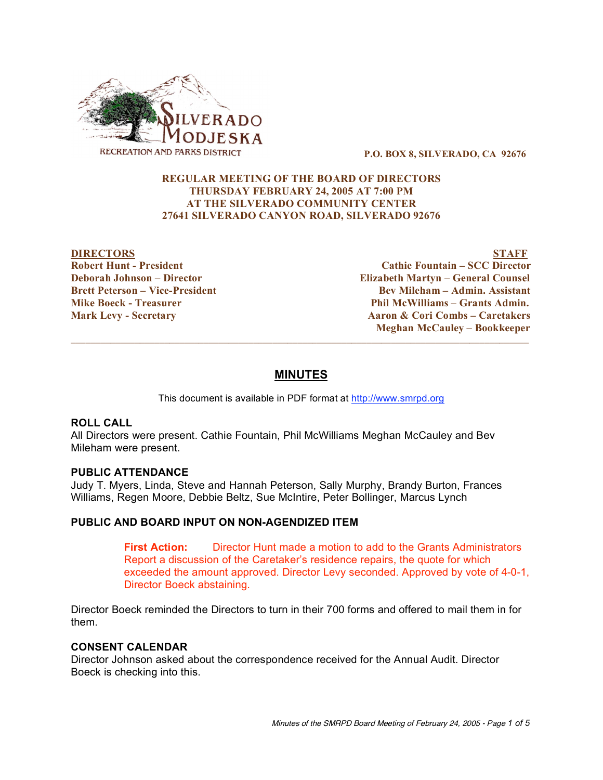

**P.O. BOX 8, SILVERADO, CA 92676**

# **REGULAR MEETING OF THE BOARD OF DIRECTORS THURSDAY FEBRUARY 24, 2005 AT 7:00 PM AT THE SILVERADO COMMUNITY CENTER 27641 SILVERADO CANYON ROAD, SILVERADO 92676**

**DIRECTORS STAFF Robert Hunt - President Cathie Fountain – SCC Director Deborah Johnson – Director Elizabeth Martyn – General Counsel Brett Peterson – Vice-President Bev Mileham – Admin. Assistant Mike Boeck - Treasurer Phil McWilliams – Grants Admin. Mark Levy - Secretary Aaron & Cori Combs – Caretakers Meghan McCauley – Bookkeeper**  $\overline{\phantom{a}}$  , and the contribution of the contribution of the contribution of the contribution of the contribution of the contribution of the contribution of the contribution of the contribution of the contribution of the

# **MINUTES**

This document is available in PDF format at http://www.smrpd.org

# **ROLL CALL**

All Directors were present. Cathie Fountain, Phil McWilliams Meghan McCauley and Bev Mileham were present.

### **PUBLIC ATTENDANCE**

Judy T. Myers, Linda, Steve and Hannah Peterson, Sally Murphy, Brandy Burton, Frances Williams, Regen Moore, Debbie Beltz, Sue McIntire, Peter Bollinger, Marcus Lynch

# **PUBLIC AND BOARD INPUT ON NON-AGENDIZED ITEM**

**First Action:** Director Hunt made a motion to add to the Grants Administrators Report a discussion of the Caretaker's residence repairs, the quote for which exceeded the amount approved. Director Levy seconded. Approved by vote of 4-0-1, Director Boeck abstaining.

Director Boeck reminded the Directors to turn in their 700 forms and offered to mail them in for them.

### **CONSENT CALENDAR**

Director Johnson asked about the correspondence received for the Annual Audit. Director Boeck is checking into this.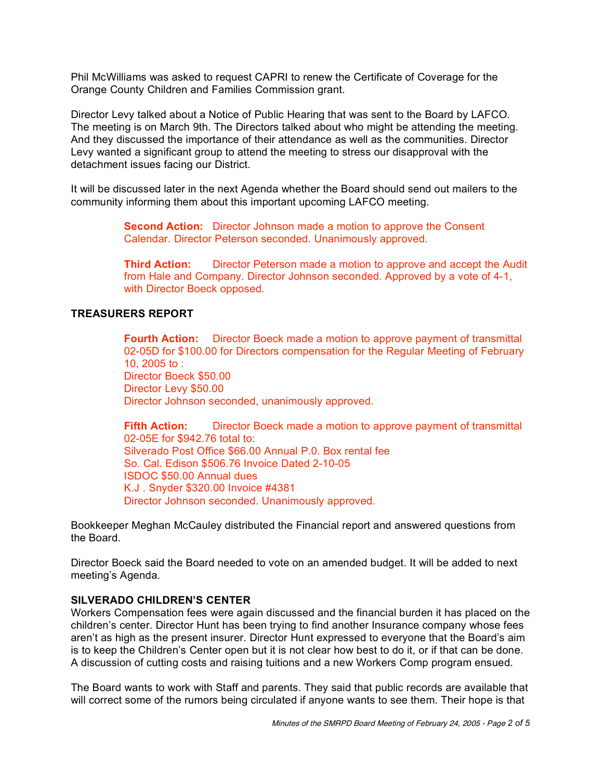Phil McWilliams was asked to request CAPRI to renew the Certificate of Coverage for the Orange County Children and Families Commission grant.

Director Levy talked about a Notice of Public Hearing that was sent to the Board by LAFCO. The meeting is on March 9th. The Directors talked about who might be attending the meeting. And they discussed the importance of their attendance as well as the communities. Director Levy wanted a significant group to attend the meeting to stress our disapproval with the detachment issues facing our District.

It will be discussed later in the next Agenda whether the Board should send out mailers to the community informing them about this important upcoming LAFCO meeting.

> **Second Action:** Director Johnson made a motion to approve the Consent Calendar. Director Peterson seconded. Unanimously approved.

**Third Action:** Director Peterson made a motion to approve and accept the Audit from Hale and Company. Director Johnson seconded. Approved by a vote of 4-1, with Director Boeck opposed.

# **TREASURERS REPORT**

**Fourth Action:** Director Boeck made a motion to approve payment of transmittal 02-05D for \$100.00 for Directors compensation for the Regular Meeting of February 10, 2005 to : Director Boeck \$50.00 Director Levy \$50.00 Director Johnson seconded, unanimously approved.

**Fifth Action:** Director Boeck made a motion to approve payment of transmittal 02-05E for \$942.76 total to: Silverado Post Office \$66.00 Annual P.0. Box rental fee So. Cal. Edison \$506.76 Invoice Dated 2-10-05 ISDOC \$50.00 Annual dues K.J . Snyder \$320.00 Invoice #4381 Director Johnson seconded. Unanimously approved.

Bookkeeper Meghan McCauley distributed the Financial report and answered questions from the Board.

Director Boeck said the Board needed to vote on an amended budget. It will be added to next meeting's Agenda.

### **SILVERADO CHILDREN'S CENTER**

Workers Compensation fees were again discussed and the financial burden it has placed on the children's center. Director Hunt has been trying to find another Insurance company whose fees aren't as high as the present insurer. Director Hunt expressed to everyone that the Board's aim is to keep the Children's Center open but it is not clear how best to do it, or if that can be done. A discussion of cutting costs and raising tuitions and a new Workers Comp program ensued.

The Board wants to work with Staff and parents. They said that public records are available that will correct some of the rumors being circulated if anyone wants to see them. Their hope is that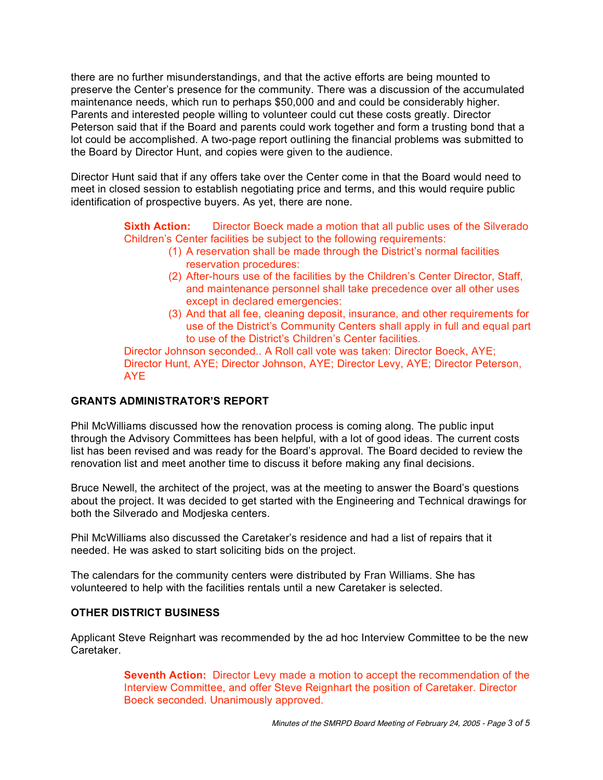there are no further misunderstandings, and that the active efforts are being mounted to preserve the Center's presence for the community. There was a discussion of the accumulated maintenance needs, which run to perhaps \$50,000 and and could be considerably higher. Parents and interested people willing to volunteer could cut these costs greatly. Director Peterson said that if the Board and parents could work together and form a trusting bond that a lot could be accomplished. A two-page report outlining the financial problems was submitted to the Board by Director Hunt, and copies were given to the audience.

Director Hunt said that if any offers take over the Center come in that the Board would need to meet in closed session to establish negotiating price and terms, and this would require public identification of prospective buyers. As yet, there are none.

> **Sixth Action:** Director Boeck made a motion that all public uses of the Silverado Children's Center facilities be subject to the following requirements:

- (1) A reservation shall be made through the District's normal facilities reservation procedures:
- (2) After-hours use of the facilities by the Children's Center Director, Staff, and maintenance personnel shall take precedence over all other uses except in declared emergencies:
- (3) And that all fee, cleaning deposit, insurance, and other requirements for use of the District's Community Centers shall apply in full and equal part to use of the District's Children's Center facilities.

Director Johnson seconded.. A Roll call vote was taken: Director Boeck, AYE; Director Hunt, AYE; Director Johnson, AYE; Director Levy, AYE; Director Peterson, AYE

# **GRANTS ADMINISTRATOR'S REPORT**

Phil McWilliams discussed how the renovation process is coming along. The public input through the Advisory Committees has been helpful, with a lot of good ideas. The current costs list has been revised and was ready for the Board's approval. The Board decided to review the renovation list and meet another time to discuss it before making any final decisions.

Bruce Newell, the architect of the project, was at the meeting to answer the Board's questions about the project. It was decided to get started with the Engineering and Technical drawings for both the Silverado and Modjeska centers.

Phil McWilliams also discussed the Caretaker's residence and had a list of repairs that it needed. He was asked to start soliciting bids on the project.

The calendars for the community centers were distributed by Fran Williams. She has volunteered to help with the facilities rentals until a new Caretaker is selected.

# **OTHER DISTRICT BUSINESS**

Applicant Steve Reignhart was recommended by the ad hoc Interview Committee to be the new Caretaker.

> **Seventh Action:** Director Levy made a motion to accept the recommendation of the Interview Committee, and offer Steve Reignhart the position of Caretaker. Director Boeck seconded. Unanimously approved.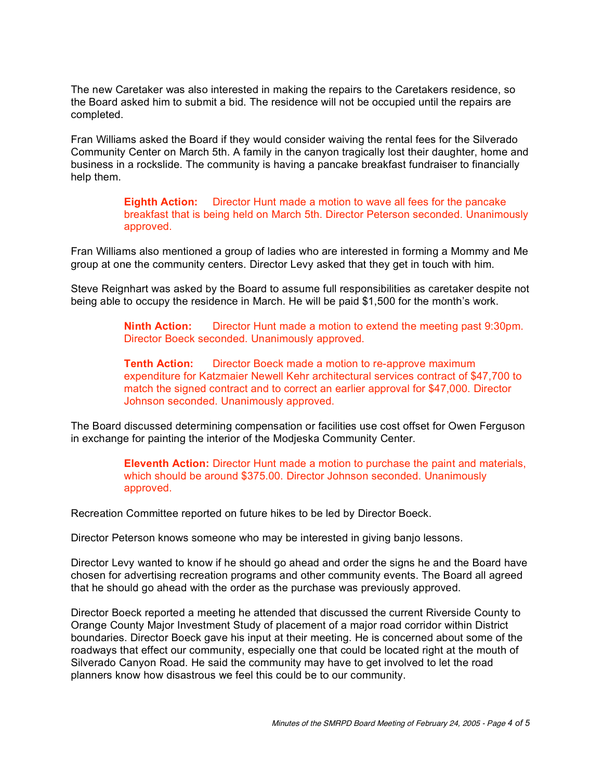The new Caretaker was also interested in making the repairs to the Caretakers residence, so the Board asked him to submit a bid. The residence will not be occupied until the repairs are completed.

Fran Williams asked the Board if they would consider waiving the rental fees for the Silverado Community Center on March 5th. A family in the canyon tragically lost their daughter, home and business in a rockslide. The community is having a pancake breakfast fundraiser to financially help them.

> **Eighth Action:** Director Hunt made a motion to wave all fees for the pancake breakfast that is being held on March 5th. Director Peterson seconded. Unanimously approved.

Fran Williams also mentioned a group of ladies who are interested in forming a Mommy and Me group at one the community centers. Director Levy asked that they get in touch with him.

Steve Reignhart was asked by the Board to assume full responsibilities as caretaker despite not being able to occupy the residence in March. He will be paid \$1,500 for the month's work.

> **Ninth Action:** Director Hunt made a motion to extend the meeting past 9:30pm. Director Boeck seconded. Unanimously approved.

> **Tenth Action:** Director Boeck made a motion to re-approve maximum expenditure for Katzmaier Newell Kehr architectural services contract of \$47,700 to match the signed contract and to correct an earlier approval for \$47,000. Director Johnson seconded. Unanimously approved.

The Board discussed determining compensation or facilities use cost offset for Owen Ferguson in exchange for painting the interior of the Modjeska Community Center.

> **Eleventh Action:** Director Hunt made a motion to purchase the paint and materials, which should be around \$375.00. Director Johnson seconded. Unanimously approved.

Recreation Committee reported on future hikes to be led by Director Boeck.

Director Peterson knows someone who may be interested in giving banjo lessons.

Director Levy wanted to know if he should go ahead and order the signs he and the Board have chosen for advertising recreation programs and other community events. The Board all agreed that he should go ahead with the order as the purchase was previously approved.

Director Boeck reported a meeting he attended that discussed the current Riverside County to Orange County Major Investment Study of placement of a major road corridor within District boundaries. Director Boeck gave his input at their meeting. He is concerned about some of the roadways that effect our community, especially one that could be located right at the mouth of Silverado Canyon Road. He said the community may have to get involved to let the road planners know how disastrous we feel this could be to our community.